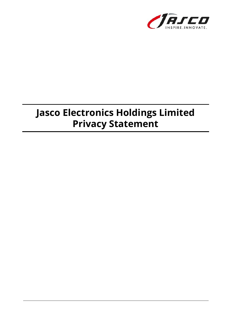

# **Jasco Electronics Holdings Limited Privacy Statement**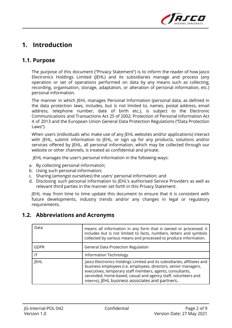

### **1. Introduction**

#### **1.1. Purpose**

The purpose of this document ("Privacy Statement") is to inform the reader of how Jasco Electronics Holdings Limited (JEHL) and its subsidiaries manage and process (any operation or set of operations performed on data by any means such as collecting, recording, organisation, storage, adaptation, or alteration of personal information, etc.) personal information.

The manner in which JEHL manages Personal Information (personal data, as defined in the data protection laws, includes, but is not limited to, names, postal address, email address, telephone number, date of birth etc.), is subject to the Electronic Communications and Transactions Act 25 of 2002; Protection of Personal Information Act 4 of 2013 and the European Union General Data Protection Regulations ("Data Protection Laws").

When users (individuals who make use of any JEHL websites and/or applications) interact with JEHL, submit information to JEHL, or sign up for any products, solutions and/or services offered by JEHL, all personal information, which may be collected through our website or other channels, is treated as confidential and private.

JEHL manages the user's personal information in the following ways:

- a. By collecting personal information;
- b. Using such personal information;
- c. Sharing (amongst ourselves) the users' personal information; and
- d. Disclosing such personal information to JEHL's authorised Service Providers as well as relevant third parties in the manner set forth in this Privacy Statement.

JEHL may from time to time update this document to ensure that it is consistent with future developments, industry trends and/or any changes in legal or regulatory requirements.

| Data        | means all information in any form that is owned or processed; it<br>includes but is not limited to facts, numbers, letters and symbols<br>collected by various means and processed to produce information.                                                                                                                  |  |
|-------------|-----------------------------------------------------------------------------------------------------------------------------------------------------------------------------------------------------------------------------------------------------------------------------------------------------------------------------|--|
| <b>GDPR</b> | <b>General Data Protection Regulation</b>                                                                                                                                                                                                                                                                                   |  |
| ΙT          | <b>Information Technology</b>                                                                                                                                                                                                                                                                                               |  |
| <b>JEHL</b> | Jasco Electronics Holdings Limited and its subsidiaries, affiliates and<br>business employees (i.e. employees, directors, senior managers,<br>executives, temporary staff members, agents, consultants,<br>seconded, home-based, casual and agency staff, volunteers and<br>interns), JEHL business associates and partners |  |

#### **1.2. Abbreviations and Acronyms**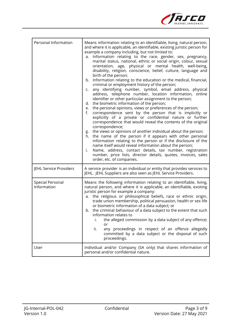

| Personal Information                   | Means information relating to an identifiable, living, natural person,<br>and where it is applicable, an identifiable, existing juristic person for<br>example a company including, but not limited to:<br>Information relating to the race, gender, sex, pregnancy,<br>a.<br>marital status, national, ethnic or social origin, colour, sexual<br>orientation, age, physical or mental health, well-being,<br>disability, religion, conscience, belief, culture, language and<br>birth of the person;<br>Information relating to the education or the medical, financial,<br>b.<br>criminal or employment history of the person;<br>any identifying number, symbol, email address, physical<br>C.<br>address, telephone number, location information, online<br>identifier or other particular assignment to the person;<br>d. the biometric information of the person;<br>the personal opinions, views or preferences of the person;<br>e.<br>correspondence sent by the person that is implicitly or<br>f.<br>explicitly of a private or confidential nature or further<br>correspondence that would reveal the contents of the original<br>correspondence;<br>g. the views or opinions of another individual about the person;<br>h. the name of the person if it appears with other personal<br>information relating to the person or if the disclosure of the<br>name itself would reveal information about the person;<br>Name, address, contact details, tax number, registration<br>i.<br>number, price lists, director details, quotes, invoices, sales<br>order, etc. of companies. |  |
|----------------------------------------|------------------------------------------------------------------------------------------------------------------------------------------------------------------------------------------------------------------------------------------------------------------------------------------------------------------------------------------------------------------------------------------------------------------------------------------------------------------------------------------------------------------------------------------------------------------------------------------------------------------------------------------------------------------------------------------------------------------------------------------------------------------------------------------------------------------------------------------------------------------------------------------------------------------------------------------------------------------------------------------------------------------------------------------------------------------------------------------------------------------------------------------------------------------------------------------------------------------------------------------------------------------------------------------------------------------------------------------------------------------------------------------------------------------------------------------------------------------------------------------------------------------------------------------------------------------------------------------------|--|
| JEHL Service Providers                 | A service provider is an individual or entity that provides services to<br>JEHL. JEHL Suppliers are also seen as JEHL Service Providers.                                                                                                                                                                                                                                                                                                                                                                                                                                                                                                                                                                                                                                                                                                                                                                                                                                                                                                                                                                                                                                                                                                                                                                                                                                                                                                                                                                                                                                                       |  |
| <b>Special Personal</b><br>Information | Means the following information relating to an identifiable, living,<br>natural person, and where it is applicable, an identifiable, existing<br>juristic person for example a company:<br>a. the religious or philosophical beliefs, race or ethnic origin,<br>trade union membership, political persuasion, health or sex life<br>or biometric information of a data subject; or<br>b. the criminal behaviour of a data subject to the extent that such<br>information relates to<br>the alleged commission by a data subject of any offence;<br>or<br>ii.<br>any proceedings in respect of an offence allegedly<br>committed by a data subject or the disposal of such<br>proceedings.                                                                                                                                                                                                                                                                                                                                                                                                                                                                                                                                                                                                                                                                                                                                                                                                                                                                                                      |  |
| User                                   | Individual and/or Company (SA only) that shares information of<br>personal and/or confidential nature.                                                                                                                                                                                                                                                                                                                                                                                                                                                                                                                                                                                                                                                                                                                                                                                                                                                                                                                                                                                                                                                                                                                                                                                                                                                                                                                                                                                                                                                                                         |  |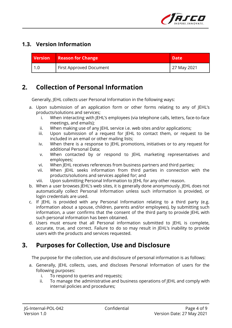

#### **1.3. Version Information**

| <b>Version</b> | <b>Reason for Change</b>             | <b>Date</b> |
|----------------|--------------------------------------|-------------|
| 1.0            | <sup>I</sup> First Approved Document | 27 May 2021 |

#### **2. Collection of Personal Information**

Generally, JEHL collects user Personal Information in the following ways:

- a. Upon submission of an application form or other forms relating to any of JEHL's products/solutions and services;
	- i. When interacting with JEHL's employees (via telephone calls, letters, face-to-face meetings, and emails);
	- ii. When making use of any JEHL service i.e. web sites and/or applications;
	- iii. Upon submission of a request for JEHL to contact them, or request to be included in an email or other mailing lists;
	- iv. When there is a response to JEHL promotions, initiatives or to any request for additional Personal Data;
	- v. When contacted by or respond to JEHL marketing representatives and employees;
	- vi. When JEHL receives references from business partners and third parties;
	- vii. When JEHL seeks information from third parties in connection with the products/solutions and services applied for; and
	- viii. Upon submitting Personal Information to JEHL for any other reason.
- b. When a user browses JEHL's web sites, it is generally done anonymously. JEHL does not automatically collect Personal Information unless such information is provided, or login credentials are used.
- c. If JEHL is provided with any Personal Information relating to a third party (e.g. information about a spouse, children, parents and/or employees), by submitting such information, a user confirms that the consent of the third party to provide JEHL with such personal information has been obtained.
- d. Users must ensure that all Personal information submitted to JEHL is complete, accurate, true, and correct. Failure to do so may result in JEHL's inability to provide users with the products and services requested.

#### **3. Purposes for Collection, Use and Disclosure**

The purpose for the collection, use and disclosure of personal information is as follows:

- a. Generally, JEHL collects, uses, and discloses Personal Information of users for the following purposes:
	- i. To respond to queries and requests;
	- ii. To manage the administrative and business operations of JEHL and comply with internal policies and procedures;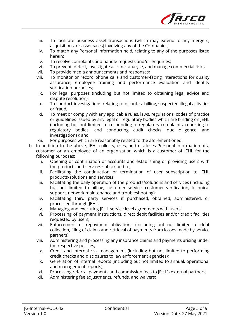

- iii. To facilitate business asset transactions (which may extend to any mergers, acquisitions, or asset sales) involving any of the Companies;
- iv. To match any Personal Information held, relating to any of the purposes listed herein;
- v. To resolve complaints and handle requests and/or enquiries;
- vi. To prevent, detect, investigate a crime, analyse, and manage commercial risks;
- vii. To provide media announcements and responses;
- viii. To monitor or record phone calls and customer-facing interactions for quality assurance, employee training and performance evaluation and identity verification purposes;
	- ix. For legal purposes (including but not limited to obtaining legal advice and dispute resolution);
	- x. To conduct investigations relating to disputes, billing, suspected illegal activities or fraud;
- xi. To meet or comply with any applicable rules, laws, regulations, codes of practice or guidelines issued by any legal or regulatory bodies which are binding on JEHL (including but not limited to responding to regulatory complaints, reporting to regulatory bodies, and conducting audit checks, due diligence, and investigations); and
- xii. For purposes which are reasonably related to the aforementioned.
- b. In addition to the above, JEHL collects, uses, and discloses Personal Information of a customer or an employee of an organisation which is a customer of JEHL for the following purposes:
	- i. Opening or continuation of accounts and establishing or providing users with the products and services subscribed to;
	- ii. Facilitating the continuation or termination of user subscription to JEHL products/solutions and services;
	- iii. Facilitating the daily operation of the products/solutions and services (including but not limited to billing, customer service, customer verification, technical support, network maintenance and troubleshooting);
	- iv. Facilitating third party services if purchased, obtained, administered, or processed through JEHL;
	- v. Managing and executing JEHL service level agreements with users;
	- vi. Processing of payment instructions, direct debit facilities and/or credit facilities requested by users;
	- vii. Enforcement of repayment obligations (including but not limited to debt collection, filing of claims and retrieval of payments from losses made by service partners);
	- viii. Administering and processing any insurance claims and payments arising under the respective policies;
	- ix. Credit and internal risk management (including but not limited to performing credit checks and disclosures to law enforcement agencies);
	- x. Generation of internal reports (including but not limited to annual, operational and management reports);
	- xi. Processing referral payments and commission fees to JEHL's external partners;
	- xii. Administering fee adjustments, refunds, and waivers;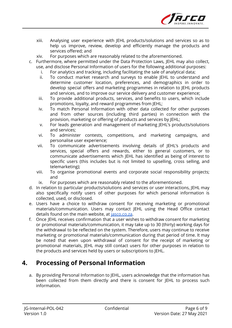

- xiii. Analysing user experience with JEHL products/solutions and services so as to help us improve, review, develop and efficiently manage the products and services offered; and
- xiv. For purposes which are reasonably related to the aforementioned.
- c. Furthermore, where permitted under the Data Protection Laws, JEHL may also collect, use, and disclose Personal Information of users for the following additional purposes:
	- i. For analytics and tracking, including facilitating the sale of analytical data;
	- ii. To conduct market research and surveys to enable JEHL to understand and determine customer location, preferences, and demographics in order to develop special offers and marketing programmes in relation to JEHL products and services, and to improve our service delivery and customer experience;
	- iii. To provide additional products, services, and benefits to users, which include promotions, loyalty, and reward programmes from JEHL;
	- iv. To match Personal Information with other data collected for other purposes and from other sources (including third parties) in connection with the provision, marketing or offering of products and services by JEHL;
	- v. For leads generation and management of marketing JEHL's products/solutions and services;
	- vi. To administer contests, competitions, and marketing campaigns, and personalise user experience;
	- vii. To communicate advertisements involving details of JEHL's products and services, special offers and rewards, either to general customers, or to communicate advertisements which JEHL has identified as being of interest to specific users (this includes but is not limited to upselling, cross selling, and telemarketing);
	- viii. To organise promotional events and corporate social responsibility projects; and
	- ix. For purposes which are reasonably related to the aforementioned.
- d. In relation to particular products/solutions and services or user interactions, JEHL may also specifically notify users of other purposes for which personal information is collected, used, or disclosed.
- e. Users have a choice to withdraw consent for receiving marketing or promotional materials/communication. Users may contact JEHL using the Head Office contact details found on the main website, at [jasco.co.za](http://jasco.co.za).
- f. Once JEHL receives confirmation that a user wishes to withdraw consent for marketing or promotional materials/communication, it may take up to 30 (thirty) working days for the withdrawal to be reflected on the system. Therefore, users may continue to receive marketing or promotional materials/communication during that period of time. It may be noted that even upon withdrawal of consent for the receipt of marketing or promotional materials, JEHL may still contact users for other purposes in relation to the products and services held by users or subscriptions to JEHL.

#### **4. Processing of Personal Information**

a. By providing Personal Information to JEHL, users acknowledge that the information has been collected from them directly and there is consent for JEHL to process such information.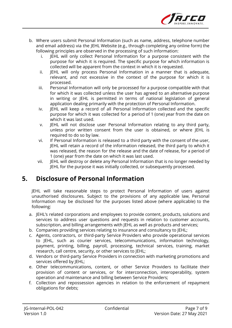

- b. Where users submit Personal Information (such as name, address, telephone number and email address) via the JEHL Website (e.g., through completing any online form) the following principles are observed in the processing of such information:
	- i. JEHL will only collect Personal Information for a purpose consistent with the purpose for which it is required. The specific purpose for which information is collected will be apparent from the context in which it is requested.
	- ii. JEHL will only process Personal Information in a manner that is adequate, relevant, and not excessive in the context of the purpose for which it is processed.
	- iii. Personal Information will only be processed for a purpose compatible with that for which it was collected unless the user has agreed to an alternative purpose in writing or JEHL is permitted in terms of national legislation of general application dealing primarily with the protection of Personal Information.
	- iv. JEHL will keep a record of all Personal Information collected and the specific purpose for which it was collected for a period of 1 (one) year from the date on which it was last used.
	- v. JEHL will not disclose user Personal Information relating to any third party, unless prior written consent from the user is obtained, or where JEHL is required to do so by law.
	- vi. If Personal Information is released to a third party with the consent of the user, JEHL will retain a record of the information released, the third party to which it was released, the reason for the release and the date of release, for a period of 1 (one) year from the date on which it was last used.
	- vii. JEHL will destroy or delete any Personal Information that is no longer needed by JEHL for the purpose it was initially collected, or subsequently processed.

## **5. Disclosure of Personal Information**

JEHL will take reasonable steps to protect Personal Information of users against unauthorised disclosures. Subject to the provisions of any applicable law, Personal Information may be disclosed for the purposes listed above (where applicable) to the following:

- a. JEHL's related corporations and employees to provide content, products, solutions and services to address user questions and requests in relation to customer accounts, subscription, and billing arrangements with JEHL as well as products and services;
- b. Companies providing services relating to insurance and consultancy to JEHL;
- c. Agents, contractors, or third-party Service Providers who provide operational services to JEHL, such as courier services, telecommunications, information technology, payment, printing, billing, payroll, processing, technical services, training, market research, call centre, security, or other services to JEHL;
- d. Vendors or third-party Service Providers in connection with marketing promotions and services offered by JEHL;
- e. Other telecommunications, content, or other Service Providers to facilitate their provision of content or services, or for interconnection, interoperability, system operation and maintenance and billing between Service Providers;
- f. Collection and repossession agencies in relation to the enforcement of repayment obligations for debts;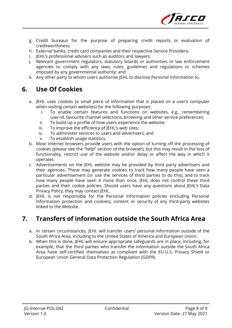

- g. Credit bureaus for the purpose of preparing credit reports or evaluation of creditworthiness;
- h. External banks, credit card companies and their respective Service Providers;
- i. JEHL's professional advisers such as auditors and lawyers;
- j. Relevant government regulators, statutory boards or authorities or law enforcement agencies to comply with any laws, rules, guidelines and regulations or schemes imposed by any governmental authority; and
- k. Any other party to whom users authorise JEHL to disclose Personal Information to.

#### **6. Use Of Cookies**

- a. JEHL uses cookies (a small piece of information that is placed on a user's computer when visiting certain websites) for the following purposes:
	- i. To enable certain features and functions on websites, e.g., remembering user-id, favourite channel selections, browsing and other service preferences;
	- ii. To build up a profile of how users experience the website;
	- iii. To improve the efficiency of JEHL's web sites;
	- iv. To administer services to users and advertisers; and
	- v. To establish usage statistics.
- b. Most Internet browsers provide users with the option of turning off the processing of cookies (please see the "help" section of the browser), but this may result in the loss of functionality, restrict use of the website and/or delay or affect the way in which it operates.
- c. Advertisements on the JEHL website may be provided by third party advertisers and their agencies. These may generate cookies to track how many people have seen a particular advertisement (or use the services of third parties to do this), and to track how many people have seen it more than once. JEHL does not control these third parties and their cookie policies. Should users have any questions about JEHL's Data Privacy Policy, they may contact JEHL.
- d. JEHL is not responsible for the Personal Information policies (including Personal Information protection and cookies), content or security of any third-party websites linked to the Website.

# **7. Transfers of information outside the South Africa Area**

- a. In certain circumstances, JEHL will transfer users' personal information outside of the South Africa Area, including to the United States of America and European Union.
- b. When this is done, JEHL will ensure appropriate safeguards are in place, including, for example, that the third parties who transfer the information outside the South Africa Area have self-certified themselves as compliant with the EU-U.S. Privacy Shield or European Union General Data Protection Regulation (GDPR).